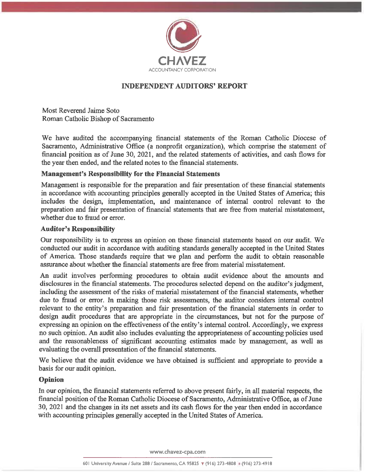

# **INDEPENDENT AUDITORS' REPORT**

Most Reverend Jaime Soto Roman Catholic Bishop of Sacramento

We have audited the accompanying financial statements of the Roman Catholic Diocese of Sacramento, Administrative Office (a nonprofit organization), which comprise the statement of financial position as of June 30, 2021, and the related statements of activities, and cash flows for the year then ended, and the related notes to the financial statements.

# **Management's Responsibility for the Financial Statements**

Management is responsible for the preparation and fair presentation of these financial statements in accordance with accounting principles generally accepted in the United States of America; this includes the design, implementation, and maintenance of internal control relevant to the preparation and fair presentation of financial statements that are free from material misstatement, whether due to fraud or error.

## **Auditor's Responsibility**

Our responsibility is to express an opinion on these financial statements based on our audit. We conducted our audit in accordance with auditing standards generally accepted in the United States of America. Those standards require that we plan and perform the audit to obtain reasonable assurance about whether the financial statements are free from material misstatement.

An audit involves performing procedures to obtain audit evidence about the amounts and disclosures in the financial statements. The procedures selected depend on the auditor's judgment, including the assessment of the risks of material misstatement of the financial statements, whether due to fraud or error. In making those risk assessments, the auditor considers internal control relevant to the entity's preparation and fair presentation of the financial statements in order to design audit procedures that are appropriate in the circumstances, but not for the purpose of expressing an opinion on the effectiveness of the entity's internal control. Accordingly, we express no such opinion. An audit also includes evaluating the appropriateness of accounting policies used and the reasonableness of significant accounting estimates made by management, as well as evaluating the overall presentation of the financial statements.

We believe that the audit evidence we have obtained is sufficient and appropriate to provide a basis for our audit opinion.

### **Opinion**

In our opinion, the financial statements referred to above present fairly, in all material respects, the financial position of the Roman Catholic Diocese of Sacramento, Administrative Office, as of June 30, 2021 and the changes in its net assets and its cash flows for the year then ended in accordance with accounting principles generally accepted in the United States of America.

www.chavez-cpa.com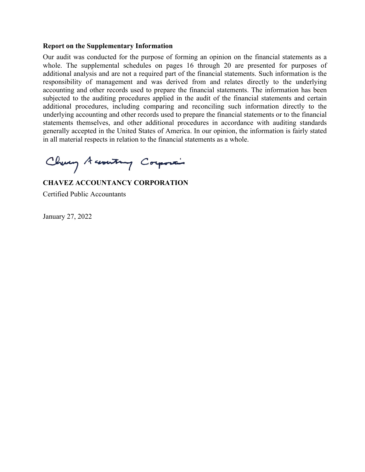#### **Report on the Supplementary Information**

Our audit was conducted for the purpose of forming an opinion on the financial statements as a whole. The supplemental schedules on pages 16 through 20 are presented for purposes of additional analysis and are not a required part of the financial statements. Such information is the responsibility of management and was derived from and relates directly to the underlying accounting and other records used to prepare the financial statements. The information has been subjected to the auditing procedures applied in the audit of the financial statements and certain additional procedures, including comparing and reconciling such information directly to the underlying accounting and other records used to prepare the financial statements or to the financial statements themselves, and other additional procedures in accordance with auditing standards generally accepted in the United States of America. In our opinion, the information is fairly stated in all material respects in relation to the financial statements as a whole.

Chung Accounting Corporain

**CHAVEZ ACCOUNTANCY CORPORATION**  Certified Public Accountants

January 27, 2022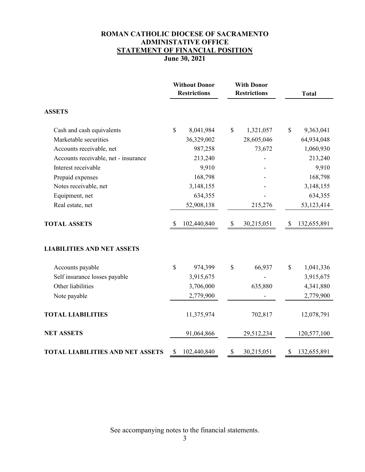# **ROMAN CATHOLIC DIOCESE OF SACRAMENTO ADMINISTATIVE OFFICE STATEMENT OF FINANCIAL POSITION June 30, 2021**

|                                         |              | <b>Without Donor</b><br><b>Restrictions</b> |    | <b>With Donor</b><br><b>Restrictions</b> |    | <b>Total</b> |
|-----------------------------------------|--------------|---------------------------------------------|----|------------------------------------------|----|--------------|
| <b>ASSETS</b>                           |              |                                             |    |                                          |    |              |
| Cash and cash equivalents               | \$           | 8,041,984                                   | \$ | 1,321,057                                | \$ | 9,363,041    |
| Marketable securities                   |              | 36,329,002                                  |    | 28,605,046                               |    | 64,934,048   |
| Accounts receivable, net                |              | 987,258                                     |    | 73,672                                   |    | 1,060,930    |
| Accounts receivable, net - insurance    |              | 213,240                                     |    |                                          |    | 213,240      |
| Interest receivable                     |              | 9,910                                       |    |                                          |    | 9,910        |
| Prepaid expenses                        |              | 168,798                                     |    |                                          |    | 168,798      |
| Notes receivable, net                   |              | 3,148,155                                   |    |                                          |    | 3,148,155    |
| Equipment, net                          |              | 634,355                                     |    |                                          |    | 634,355      |
| Real estate, net                        |              | 52,908,138                                  |    | 215,276                                  |    | 53,123,414   |
| <b>TOTAL ASSETS</b>                     | <sup>S</sup> | 102,440,840                                 | \$ | 30,215,051                               | \$ | 132,655,891  |
| <b>LIABILITIES AND NET ASSETS</b>       |              |                                             |    |                                          |    |              |
| Accounts payable                        | \$           | 974,399                                     | \$ | 66,937                                   | \$ | 1,041,336    |
| Self insurance losses payable           |              | 3,915,675                                   |    |                                          |    | 3,915,675    |
| Other liabilities                       |              | 3,706,000                                   |    | 635,880                                  |    | 4,341,880    |
| Note payable                            |              | 2,779,900                                   |    |                                          |    | 2,779,900    |
| <b>TOTAL LIABILITIES</b>                |              | 11,375,974                                  |    | 702,817                                  |    | 12,078,791   |
| <b>NET ASSETS</b>                       |              | 91,064,866                                  |    | 29,512,234                               |    | 120,577,100  |
| <b>TOTAL LIABILITIES AND NET ASSETS</b> | \$           | 102,440,840                                 | \$ | 30,215,051                               | \$ | 132,655,891  |

See accompanying notes to the financial statements.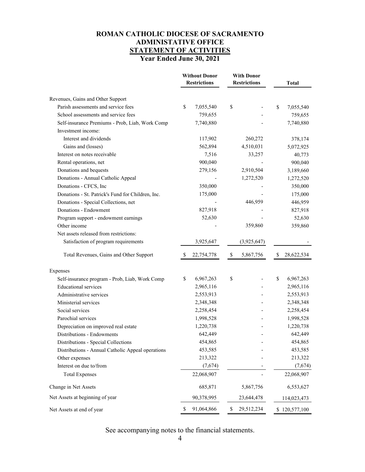# **ROMAN CATHOLIC DIOCESE OF SACRAMENTO ADMINISTATIVE OFFICE STATEMENT OF ACTIVITIES Year Ended June 30, 2021**

|                                                   | <b>Without Donor</b><br><b>Restrictions</b> | <b>With Donor</b><br><b>Restrictions</b> | Total            |
|---------------------------------------------------|---------------------------------------------|------------------------------------------|------------------|
| Revenues, Gains and Other Support                 |                                             |                                          |                  |
| Parish assessments and service fees               | \$<br>7,055,540                             | \$                                       | \$<br>7,055,540  |
| School assessments and service fees               | 759,655                                     |                                          | 759,655          |
| Self-insurance Premiums - Prob, Liab, Work Comp   | 7,740,880                                   |                                          | 7,740,880        |
| Investment income:                                |                                             |                                          |                  |
| Interest and dividends                            | 117,902                                     | 260,272                                  | 378,174          |
| Gains and (losses)                                | 562,894                                     | 4,510,031                                | 5,072,925        |
| Interest on notes receivable                      | 7,516                                       | 33,257                                   | 40,773           |
| Rental operations, net                            | 900,040                                     |                                          | 900,040          |
| Donations and bequests                            | 279,156                                     | 2,910,504                                | 3,189,660        |
| Donations - Annual Catholic Appeal                |                                             | 1,272,520                                | 1,272,520        |
| Donations - CFCS, Inc                             | 350,000                                     |                                          | 350,000          |
| Donations - St. Patrick's Fund for Children, Inc. | 175,000                                     |                                          | 175,000          |
| Donations - Special Collections, net              |                                             | 446,959                                  | 446,959          |
| Donations - Endowment                             | 827,918                                     |                                          | 827,918          |
| Program support - endowment earnings              | 52,630                                      |                                          | 52,630           |
| Other income                                      |                                             | 359,860                                  | 359,860          |
| Net assets released from restrictions:            |                                             |                                          |                  |
| Satisfaction of program requirements              | 3,925,647                                   | (3,925,647)                              |                  |
| Total Revenues, Gains and Other Support           | \$<br>22,754,778                            | \$<br>5,867,756                          | \$<br>28,622,534 |
| <b>Expenses</b>                                   |                                             |                                          |                  |
| Self-insurance program - Prob, Liab, Work Comp    | \$<br>6,967,263                             | \$                                       | \$<br>6,967,263  |
| <b>Educational services</b>                       | 2,965,116                                   |                                          | 2,965,116        |
| Administrative services                           | 2,553,913                                   |                                          | 2,553,913        |
| Ministerial services                              | 2,348,348                                   |                                          | 2,348,348        |
| Social services                                   | 2,258,454                                   |                                          | 2,258,454        |
| Parochial services                                | 1,998,528                                   |                                          | 1,998,528        |
| Depreciation on improved real estate              | 1,220,738                                   |                                          | 1,220,738        |
| Distributions - Endowments                        | 642,449                                     |                                          | 642,449          |
| Distributions - Special Collections               | 454,865                                     |                                          | 454,865          |
| Distributions - Annual Catholic Appeal operations | 453,585                                     |                                          | 453,585          |
| Other expenses                                    | 213,322                                     |                                          | 213,322          |
| Interest on due to/from                           | (7,674)                                     |                                          | (7,674)          |
| <b>Total Expenses</b>                             | 22,068,907                                  |                                          | 22,068,907       |
| Change in Net Assets                              | 685,871                                     | 5,867,756                                | 6,553,627        |
| Net Assets at beginning of year                   | 90,378,995                                  | 23,644,478                               | 114,023,473      |
| Net Assets at end of year                         | \$<br>91,064,866                            | \$<br>29,512,234                         | \$120,577,100    |

See accompanying notes to the financial statements.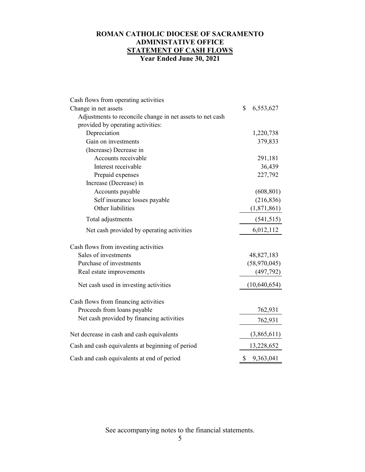# **ROMAN CATHOLIC DIOCESE OF SACRAMENTO ADMINISTATIVE OFFICE STATEMENT OF CASH FLOWS Year Ended June 30, 2021**

| Cash flows from operating activities                      |                 |
|-----------------------------------------------------------|-----------------|
| Change in net assets                                      | \$<br>6,553,627 |
| Adjustments to reconcile change in net assets to net cash |                 |
| provided by operating activities:                         |                 |
| Depreciation                                              | 1,220,738       |
| Gain on investments                                       | 379,833         |
| (Increase) Decrease in                                    |                 |
| Accounts receivable                                       | 291,181         |
| Interest receivable                                       | 36,439          |
| Prepaid expenses                                          | 227,792         |
| Increase (Decrease) in                                    |                 |
| Accounts payable                                          | (608, 801)      |
| Self insurance losses payable                             | (216, 836)      |
| Other liabilities                                         | (1,871,861)     |
| Total adjustments                                         | (541, 515)      |
| Net cash provided by operating activities                 | 6,012,112       |
| Cash flows from investing activities                      |                 |
| Sales of investments                                      | 48,827,183      |
| Purchase of investments                                   | (58,970,045)    |
| Real estate improvements                                  | (497, 792)      |
| Net cash used in investing activities                     | (10,640,654)    |
| Cash flows from financing activities                      |                 |
| Proceeds from loans payable                               | 762,931         |
| Net cash provided by financing activities                 | 762,931         |
| Net decrease in cash and cash equivalents                 | (3,865,611)     |
| Cash and cash equivalents at beginning of period          | 13,228,652      |
| Cash and cash equivalents at end of period                | \$<br>9,363,041 |

See accompanying notes to the financial statements.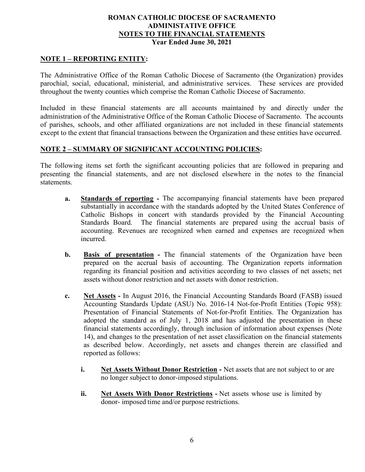## **NOTE 1 – REPORTING ENTITY:**

The Administrative Office of the Roman Catholic Diocese of Sacramento (the Organization) provides parochial, social, educational, ministerial, and administrative services. These services are provided throughout the twenty counties which comprise the Roman Catholic Diocese of Sacramento.

Included in these financial statements are all accounts maintained by and directly under the administration of the Administrative Office of the Roman Catholic Diocese of Sacramento. The accounts of parishes, schools, and other affiliated organizations are not included in these financial statements except to the extent that financial transactions between the Organization and these entities have occurred.

## **NOTE 2 – SUMMARY OF SIGNIFICANT ACCOUNTING POLICIES:**

The following items set forth the significant accounting policies that are followed in preparing and presenting the financial statements, and are not disclosed elsewhere in the notes to the financial statements.

- **a. Standards of reporting** The accompanying financial statements have been prepared substantially in accordance with the standards adopted by the United States Conference of Catholic Bishops in concert with standards provided by the Financial Accounting Standards Board. The financial statements are prepared using the accrual basis of accounting. Revenues are recognized when earned and expenses are recognized when incurred.
- **b. Basis of presentation -** The financial statements of the Organization have been prepared on the accrual basis of accounting. The Organization reports information regarding its financial position and activities according to two classes of net assets; net assets without donor restriction and net assets with donor restriction.
- **c. Net Assets -** In August 2016, the Financial Accounting Standards Board (FASB) issued Accounting Standards Update (ASU) No. 2016-14 Not-for-Profit Entities (Topic 958): Presentation of Financial Statements of Not-for-Profit Entities. The Organization has adopted the standard as of July 1, 2018 and has adjusted the presentation in these financial statements accordingly, through inclusion of information about expenses (Note 14), and changes to the presentation of net asset classification on the financial statements as described below. Accordingly, net assets and changes therein are classified and reported as follows:
	- **i.** Net Assets Without Donor Restriction Net assets that are not subject to or are no longer subject to donor-imposed stipulations.
	- **ii. Net Assets With Donor Restrictions -** Net assets whose use is limited by donor- imposed time and/or purpose restrictions.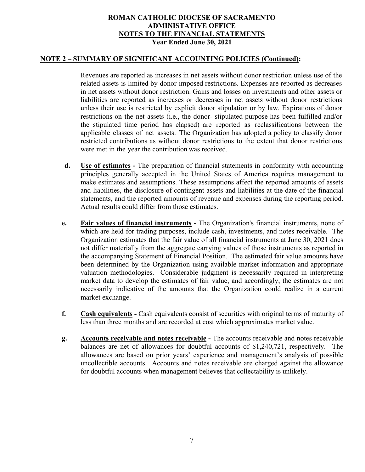### **NOTE 2 – SUMMARY OF SIGNIFICANT ACCOUNTING POLICIES (Continued):**

Revenues are reported as increases in net assets without donor restriction unless use of the related assets is limited by donor-imposed restrictions. Expenses are reported as decreases in net assets without donor restriction. Gains and losses on investments and other assets or liabilities are reported as increases or decreases in net assets without donor restrictions unless their use is restricted by explicit donor stipulation or by law. Expirations of donor restrictions on the net assets (i.e., the donor- stipulated purpose has been fulfilled and/or the stipulated time period has elapsed) are reported as reclassifications between the applicable classes of net assets. The Organization has adopted a policy to classify donor restricted contributions as without donor restrictions to the extent that donor restrictions were met in the year the contribution was received.

- **d. Use of estimates -** The preparation of financial statements in conformity with accounting principles generally accepted in the United States of America requires management to make estimates and assumptions. These assumptions affect the reported amounts of assets and liabilities, the disclosure of contingent assets and liabilities at the date of the financial statements, and the reported amounts of revenue and expenses during the reporting period. Actual results could differ from those estimates.
- **e. Fair values of financial instruments -** The Organization's financial instruments, none of which are held for trading purposes, include cash, investments, and notes receivable. The Organization estimates that the fair value of all financial instruments at June 30, 2021 does not differ materially from the aggregate carrying values of those instruments as reported in the accompanying Statement of Financial Position. The estimated fair value amounts have been determined by the Organization using available market information and appropriate valuation methodologies. Considerable judgment is necessarily required in interpreting market data to develop the estimates of fair value, and accordingly, the estimates are not necessarily indicative of the amounts that the Organization could realize in a current market exchange.
- **f.** Cash equivalents Cash equivalents consist of securities with original terms of maturity of less than three months and are recorded at cost which approximates market value.
- **g. Accounts receivable and notes receivable -** The accounts receivable and notes receivable balances are net of allowances for doubtful accounts of \$1,240,721, respectively. The allowances are based on prior years' experience and management's analysis of possible uncollectible accounts. Accounts and notes receivable are charged against the allowance for doubtful accounts when management believes that collectability is unlikely.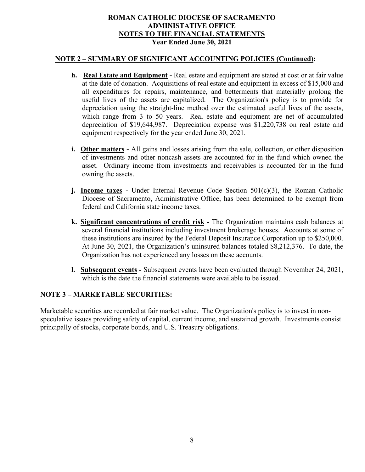#### **NOTE 2 – SUMMARY OF SIGNIFICANT ACCOUNTING POLICIES (Continued):**

- **h. Real Estate and Equipment** Real estate and equipment are stated at cost or at fair value at the date of donation. Acquisitions of real estate and equipment in excess of \$15,000 and all expenditures for repairs, maintenance, and betterments that materially prolong the useful lives of the assets are capitalized. The Organization's policy is to provide for depreciation using the straight-line method over the estimated useful lives of the assets, which range from 3 to 50 years. Real estate and equipment are net of accumulated depreciation of \$19,644,987. Depreciation expense was \$1,220,738 on real estate and equipment respectively for the year ended June 30, 2021.
- **i. Other matters -** All gains and losses arising from the sale, collection, or other disposition of investments and other noncash assets are accounted for in the fund which owned the asset. Ordinary income from investments and receivables is accounted for in the fund owning the assets.
- **j. Income taxes** Under Internal Revenue Code Section 501(c)(3), the Roman Catholic Diocese of Sacramento, Administrative Office, has been determined to be exempt from federal and California state income taxes.
- **k. Significant concentrations of credit risk -** The Organization maintains cash balances at several financial institutions including investment brokerage houses. Accounts at some of these institutions are insured by the Federal Deposit Insurance Corporation up to \$250,000. At June 30, 2021, the Organization's uninsured balances totaled \$8,212,376. To date, the Organization has not experienced any losses on these accounts.
- **l. Subsequent events -** Subsequent events have been evaluated through November 24, 2021, which is the date the financial statements were available to be issued.

### **NOTE 3 – MARKETABLE SECURITIES:**

Marketable securities are recorded at fair market value. The Organization's policy is to invest in nonspeculative issues providing safety of capital, current income, and sustained growth. Investments consist principally of stocks, corporate bonds, and U.S. Treasury obligations.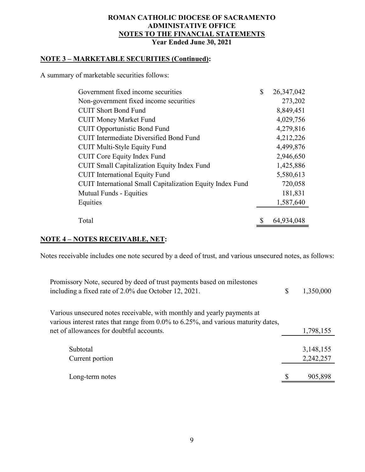# **NOTE 3 – MARKETABLE SECURITIES (Continued):**

A summary of marketable securities follows:

| Government fixed income securities                               | \$<br>26,347,042 |
|------------------------------------------------------------------|------------------|
| Non-government fixed income securities                           | 273,202          |
| <b>CUIT Short Bond Fund</b>                                      | 8,849,451        |
| <b>CUIT Money Market Fund</b>                                    | 4,029,756        |
| <b>CUIT Opportunistic Bond Fund</b>                              | 4,279,816        |
| <b>CUIT</b> Intermediate Diversified Bond Fund                   | 4,212,226        |
| <b>CUIT Multi-Style Equity Fund</b>                              | 4,499,876        |
| <b>CUIT Core Equity Index Fund</b>                               | 2,946,650        |
| <b>CUIT Small Capitalization Equity Index Fund</b>               | 1,425,886        |
| <b>CUIT</b> International Equity Fund                            | 5,580,613        |
| <b>CUIT</b> International Small Capitalization Equity Index Fund | 720,058          |
| <b>Mutual Funds - Equities</b>                                   | 181,831          |
| Equities                                                         | 1,587,640        |
|                                                                  |                  |
| Total                                                            | \$<br>64,934,048 |

### **NOTE 4 – NOTES RECEIVABLE, NET:**

Notes receivable includes one note secured by a deed of trust, and various unsecured notes, as follows:

| Promissory Note, secured by deed of trust payments based on milestones<br>including a fixed rate of 2.0% due October 12, 2021.                                                                           | \$<br>1,350,000 |
|----------------------------------------------------------------------------------------------------------------------------------------------------------------------------------------------------------|-----------------|
| Various unsecured notes receivable, with monthly and yearly payments at<br>various interest rates that range from 0.0% to 6.25%, and various maturity dates,<br>net of allowances for doubtful accounts. | 1,798,155       |
|                                                                                                                                                                                                          |                 |
| Subtotal                                                                                                                                                                                                 | 3,148,155       |
| Current portion                                                                                                                                                                                          | 2,242,257       |
| Long-term notes                                                                                                                                                                                          | 905,898         |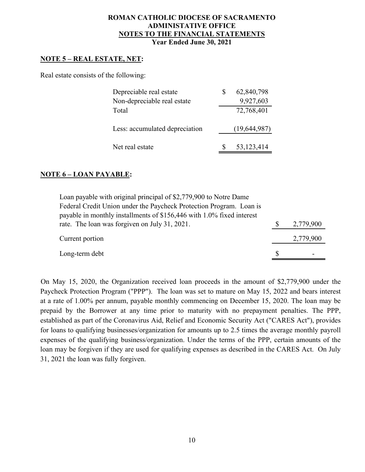### **NOTE 5 – REAL ESTATE, NET:**

Real estate consists of the following:

| Depreciable real estate        | 62,840,798<br>S |  |
|--------------------------------|-----------------|--|
| Non-depreciable real estate    | 9,927,603       |  |
| Total                          | 72,768,401      |  |
|                                |                 |  |
| Less: accumulated depreciation | (19, 644, 987)  |  |
|                                |                 |  |
| Net real estate                | 53,123,414      |  |

## **NOTE 6 – LOAN PAYABLE:**

| Loan payable with original principal of \$2,779,900 to Notre Dame     |           |
|-----------------------------------------------------------------------|-----------|
| Federal Credit Union under the Paycheck Protection Program. Loan is   |           |
| payable in monthly installments of \$156,446 with 1.0% fixed interest |           |
| rate. The loan was forgiven on July 31, 2021.                         | 2,779,900 |
| Current portion                                                       | 2,779,900 |
| Long-term debt                                                        |           |

On May 15, 2020, the Organization received loan proceeds in the amount of \$2,779,900 under the Paycheck Protection Program ("PPP"). The loan was set to mature on May 15, 2022 and bears interest at a rate of 1.00% per annum, payable monthly commencing on December 15, 2020. The loan may be prepaid by the Borrower at any time prior to maturity with no prepayment penalties. The PPP, established as part of the Coronavirus Aid, Relief and Economic Security Act ("CARES Act"), provides for loans to qualifying businesses/organization for amounts up to 2.5 times the average monthly payroll expenses of the qualifying business/organization. Under the terms of the PPP, certain amounts of the loan may be forgiven if they are used for qualifying expenses as described in the CARES Act. On July 31, 2021 the loan was fully forgiven.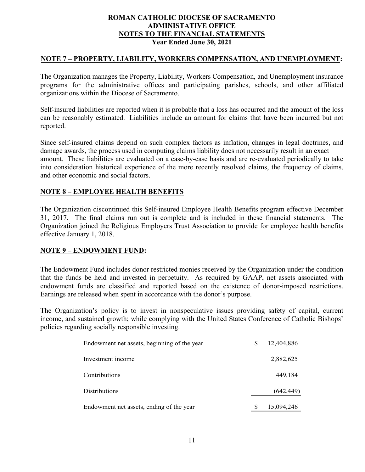## **NOTE 7 – PROPERTY, LIABILITY, WORKERS COMPENSATION, AND UNEMPLOYMENT:**

The Organization manages the Property, Liability, Workers Compensation, and Unemployment insurance programs for the administrative offices and participating parishes, schools, and other affiliated organizations within the Diocese of Sacramento.

Self-insured liabilities are reported when it is probable that a loss has occurred and the amount of the loss can be reasonably estimated. Liabilities include an amount for claims that have been incurred but not reported.

Since self-insured claims depend on such complex factors as inflation, changes in legal doctrines, and damage awards, the process used in computing claims liability does not necessarily result in an exact amount. These liabilities are evaluated on a case-by-case basis and are re-evaluated periodically to take into consideration historical experience of the more recently resolved claims, the frequency of claims, and other economic and social factors.

## **NOTE 8 – EMPLOYEE HEALTH BENEFITS**

The Organization discontinued this Self-insured Employee Health Benefits program effective December 31, 2017. The final claims run out is complete and is included in these financial statements. The Organization joined the Religious Employers Trust Association to provide for employee health benefits effective January 1, 2018.

### **NOTE 9 – ENDOWMENT FUND:**

The Endowment Fund includes donor restricted monies received by the Organization under the condition that the funds be held and invested in perpetuity. As required by GAAP, net assets associated with endowment funds are classified and reported based on the existence of donor-imposed restrictions. Earnings are released when spent in accordance with the donor's purpose.

The Organization's policy is to invest in nonspeculative issues providing safety of capital, current income, and sustained growth; while complying with the United States Conference of Catholic Bishops' policies regarding socially responsible investing.

| Endowment net assets, beginning of the year | 12,404,886 |
|---------------------------------------------|------------|
| Investment income                           | 2,882,625  |
| Contributions                               | 449,184    |
| <b>Distributions</b>                        | (642, 449) |
| Endowment net assets, ending of the year    | 15,094,246 |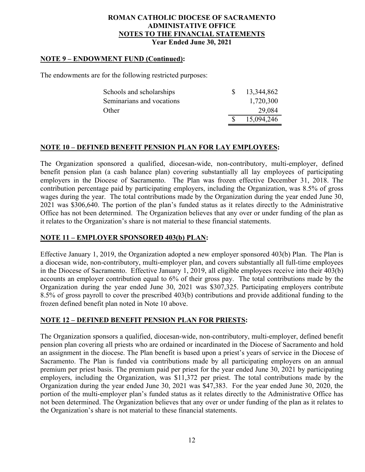### **NOTE 9 – ENDOWMENT FUND (Continued):**

The endowments are for the following restricted purposes:

| Schools and scholarships  | 13,344,862 |
|---------------------------|------------|
| Seminarians and vocations | 1,720,300  |
| Other                     | 29,084     |
|                           | 15,094,246 |

### **NOTE 10 – DEFINED BENEFIT PENSION PLAN FOR LAY EMPLOYEES:**

The Organization sponsored a qualified, diocesan-wide, non-contributory, multi-employer, defined benefit pension plan (a cash balance plan) covering substantially all lay employees of participating employers in the Diocese of Sacramento. The Plan was frozen effective December 31, 2018. The contribution percentage paid by participating employers, including the Organization, was 8.5% of gross wages during the year. The total contributions made by the Organization during the year ended June 30, 2021 was \$306,640. The portion of the plan's funded status as it relates directly to the Administrative Office has not been determined. The Organization believes that any over or under funding of the plan as it relates to the Organization's share is not material to these financial statements.

### **NOTE 11 – EMPLOYER SPONSORED 403(b) PLAN:**

Effective January 1, 2019, the Organization adopted a new employer sponsored 403(b) Plan. The Plan is a diocesan wide, non-contributory, multi-employer plan, and covers substantially all full-time employees in the Diocese of Sacramento. Effective January 1, 2019, all eligible employees receive into their 403(b) accounts an employer contribution equal to 6% of their gross pay. The total contributions made by the Organization during the year ended June 30, 2021 was \$307,325. Participating employers contribute 8.5% of gross payroll to cover the prescribed 403(b) contributions and provide additional funding to the frozen defined benefit plan noted in Note 10 above.

### **NOTE 12 – DEFINED BENEFIT PENSION PLAN FOR PRIESTS:**

The Organization sponsors a qualified, diocesan-wide, non-contributory, multi-employer, defined benefit pension plan covering all priests who are ordained or incardinated in the Diocese of Sacramento and hold an assignment in the diocese. The Plan benefit is based upon a priest's years of service in the Diocese of Sacramento. The Plan is funded via contributions made by all participating employers on an annual premium per priest basis. The premium paid per priest for the year ended June 30, 2021 by participating employers, including the Organization, was \$11,372 per priest. The total contributions made by the Organization during the year ended June 30, 2021 was \$47,383. For the year ended June 30, 2020, the portion of the multi-employer plan's funded status as it relates directly to the Administrative Office has not been determined. The Organization believes that any over or under funding of the plan as it relates to the Organization's share is not material to these financial statements.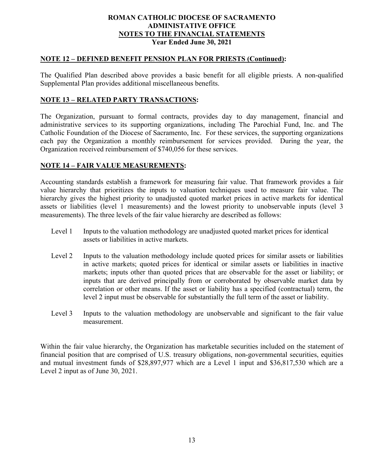#### **NOTE 12 – DEFINED BENEFIT PENSION PLAN FOR PRIESTS (Continued):**

The Qualified Plan described above provides a basic benefit for all eligible priests. A non-qualified Supplemental Plan provides additional miscellaneous benefits.

### **NOTE 13 – RELATED PARTY TRANSACTIONS:**

The Organization, pursuant to formal contracts, provides day to day management, financial and administrative services to its supporting organizations, including The Parochial Fund, Inc. and The Catholic Foundation of the Diocese of Sacramento, Inc. For these services, the supporting organizations each pay the Organization a monthly reimbursement for services provided. During the year, the Organization received reimbursement of \$740,056 for these services.

### **NOTE 14 – FAIR VALUE MEASUREMENTS:**

Accounting standards establish a framework for measuring fair value. That framework provides a fair value hierarchy that prioritizes the inputs to valuation techniques used to measure fair value. The hierarchy gives the highest priority to unadjusted quoted market prices in active markets for identical assets or liabilities (level 1 measurements) and the lowest priority to unobservable inputs (level 3 measurements). The three levels of the fair value hierarchy are described as follows:

- Level 1 Inputs to the valuation methodology are unadjusted quoted market prices for identical assets or liabilities in active markets.
- Level 2 Inputs to the valuation methodology include quoted prices for similar assets or liabilities in active markets; quoted prices for identical or similar assets or liabilities in inactive markets; inputs other than quoted prices that are observable for the asset or liability; or inputs that are derived principally from or corroborated by observable market data by correlation or other means. If the asset or liability has a specified (contractual) term, the level 2 input must be observable for substantially the full term of the asset or liability.
- Level 3 Inputs to the valuation methodology are unobservable and significant to the fair value measurement.

Within the fair value hierarchy, the Organization has marketable securities included on the statement of financial position that are comprised of U.S. treasury obligations, non-governmental securities, equities and mutual investment funds of \$28,897,977 which are a Level 1 input and \$36,817,530 which are a Level 2 input as of June 30, 2021.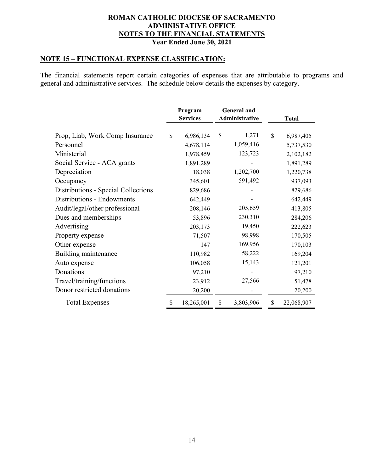# **NOTE 15 – FUNCTIONAL EXPENSE CLASSIFICATION:**

The financial statements report certain categories of expenses that are attributable to programs and general and administrative services. The schedule below details the expenses by category.

|                                     | Program |                 | <b>General</b> and<br>Administrative |           |              |              |
|-------------------------------------|---------|-----------------|--------------------------------------|-----------|--------------|--------------|
|                                     |         | <b>Services</b> |                                      |           |              | <b>Total</b> |
| Prop, Liab, Work Comp Insurance     | \$      | 6,986,134       | \$                                   | 1,271     | $\mathbb{S}$ | 6,987,405    |
| Personnel                           |         | 4,678,114       |                                      | 1,059,416 |              | 5,737,530    |
| Ministerial                         |         | 1,978,459       |                                      | 123,723   |              | 2,102,182    |
| Social Service - ACA grants         |         | 1,891,289       |                                      |           |              | 1,891,289    |
| Depreciation                        |         | 18,038          |                                      | 1,202,700 |              | 1,220,738    |
| Occupancy                           |         | 345,601         |                                      | 591,492   |              | 937,093      |
| Distributions - Special Collections |         | 829,686         |                                      |           |              | 829,686      |
| Distributions - Endowments          |         | 642,449         |                                      |           |              | 642,449      |
| Audit/legal/other professional      |         | 208,146         |                                      | 205,659   |              | 413,805      |
| Dues and memberships                |         | 53,896          |                                      | 230,310   |              | 284,206      |
| Advertising                         |         | 203,173         |                                      | 19,450    |              | 222,623      |
| Property expense                    |         | 71,507          |                                      | 98,998    |              | 170,505      |
| Other expense                       |         | 147             |                                      | 169,956   |              | 170,103      |
| Building maintenance                |         | 110,982         |                                      | 58,222    |              | 169,204      |
| Auto expense                        |         | 106,058         |                                      | 15,143    |              | 121,201      |
| Donations                           |         | 97,210          |                                      |           |              | 97,210       |
| Travel/training/functions           |         | 23,912          |                                      | 27,566    |              | 51,478       |
| Donor restricted donations          |         | 20,200          |                                      |           |              | 20,200       |
| <b>Total Expenses</b>               |         | 18,265,001      | \$                                   | 3,803,906 | \$           | 22,068,907   |